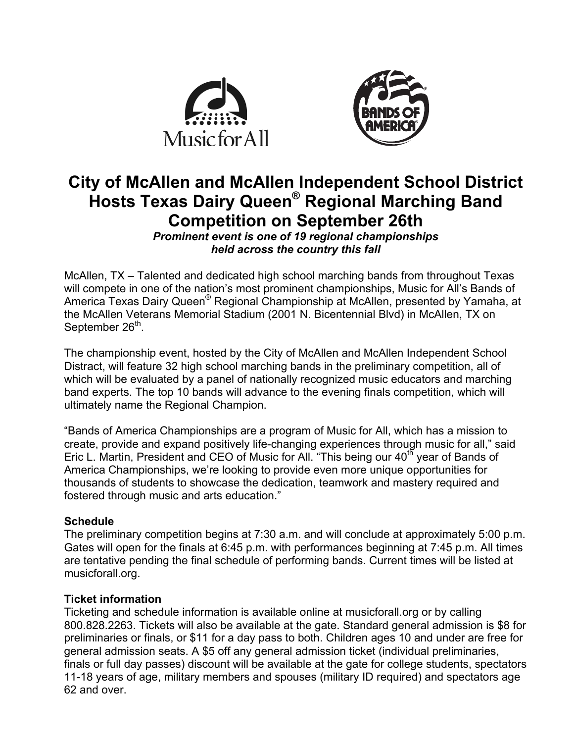



# **City of McAllen and McAllen Independent School District Hosts Texas Dairy Queen® Regional Marching Band Competition on September 26th**

*Prominent event is one of 19 regional championships held across the country this fall*

McAllen, TX – Talented and dedicated high school marching bands from throughout Texas will compete in one of the nation's most prominent championships, Music for All's Bands of America Texas Dairy Queen<sup>®</sup> Regional Championship at McAllen, presented by Yamaha, at the McAllen Veterans Memorial Stadium (2001 N. Bicentennial Blvd) in McAllen, TX on September 26<sup>th</sup>.

The championship event, hosted by the City of McAllen and McAllen Independent School Distract, will feature 32 high school marching bands in the preliminary competition, all of which will be evaluated by a panel of nationally recognized music educators and marching band experts. The top 10 bands will advance to the evening finals competition, which will ultimately name the Regional Champion.

"Bands of America Championships are a program of Music for All, which has a mission to create, provide and expand positively life-changing experiences through music for all," said Eric L. Martin, President and CEO of Music for All. "This being our 40<sup>th</sup> year of Bands of America Championships, we're looking to provide even more unique opportunities for thousands of students to showcase the dedication, teamwork and mastery required and fostered through music and arts education."

## **Schedule**

The preliminary competition begins at 7:30 a.m. and will conclude at approximately 5:00 p.m. Gates will open for the finals at 6:45 p.m. with performances beginning at 7:45 p.m. All times are tentative pending the final schedule of performing bands. Current times will be listed at musicforall.org.

## **Ticket information**

Ticketing and schedule information is available online at musicforall.org or by calling 800.828.2263. Tickets will also be available at the gate. Standard general admission is \$8 for preliminaries or finals, or \$11 for a day pass to both. Children ages 10 and under are free for general admission seats. A \$5 off any general admission ticket (individual preliminaries, finals or full day passes) discount will be available at the gate for college students, spectators 11-18 years of age, military members and spouses (military ID required) and spectators age 62 and over.